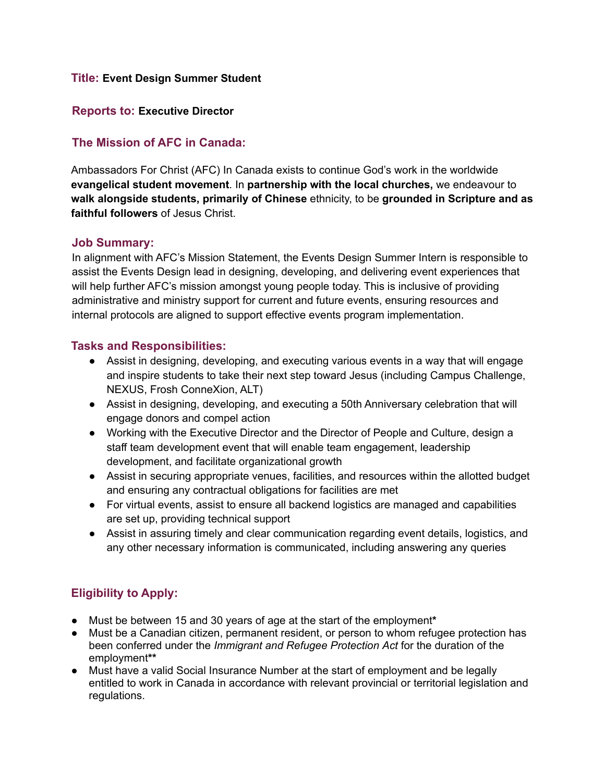#### **Title: Event Design Summer Student**

#### **Reports to: Executive Director**

## **The Mission of AFC in Canada:**

Ambassadors For Christ (AFC) In Canada exists to continue God's work in the worldwide **evangelical student movement**. In **partnership with the local churches,** we endeavour to **walk alongside students, primarily of Chinese** ethnicity, to be **grounded in Scripture and as faithful followers** of Jesus Christ.

#### **Job Summary:**

In alignment with AFC's Mission Statement, the Events Design Summer Intern is responsible to assist the Events Design lead in designing, developing, and delivering event experiences that will help further AFC's mission amongst young people today. This is inclusive of providing administrative and ministry support for current and future events, ensuring resources and internal protocols are aligned to support effective events program implementation.

### **Tasks and Responsibilities:**

- **●** Assist in designing, developing, and executing various events in a way that will engage and inspire students to take their next step toward Jesus (including Campus Challenge, NEXUS, Frosh ConneXion, ALT)
- Assist in designing, developing, and executing a 50th Anniversary celebration that will engage donors and compel action
- Working with the Executive Director and the Director of People and Culture, design a staff team development event that will enable team engagement, leadership development, and facilitate organizational growth
- Assist in securing appropriate venues, facilities, and resources within the allotted budget and ensuring any contractual obligations for facilities are met
- For virtual events, assist to ensure all backend logistics are managed and capabilities are set up, providing technical support
- Assist in assuring timely and clear communication regarding event details, logistics, and any other necessary information is communicated, including answering any queries

# **Eligibility to Apply:**

- Must be between 15 and 30 years of age at the start of the employment**\***
- Must be a Canadian citizen, permanent resident, or person to whom refugee protection has been conferred under the *Immigrant and Refugee Protection Act* for the duration of the employment**\*\***
- Must have a valid Social Insurance Number at the start of employment and be legally entitled to work in Canada in accordance with relevant provincial or territorial legislation and regulations.